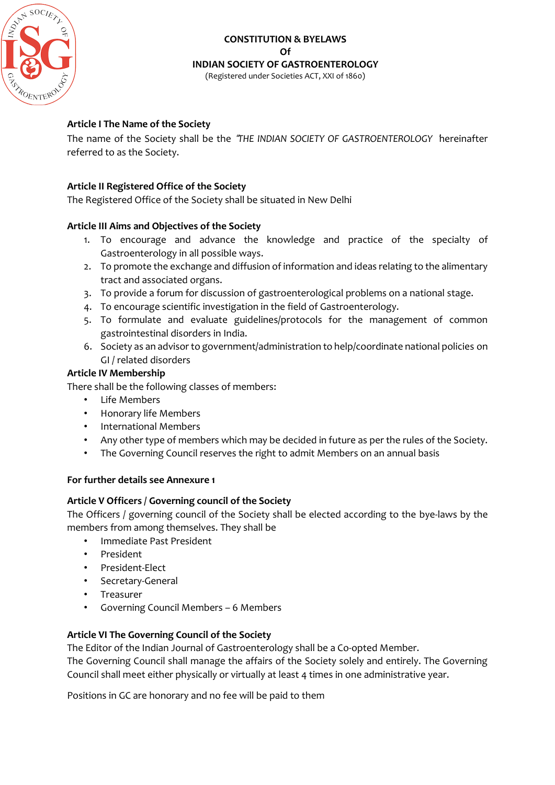

# **CONSTITUTION & BYELAWS Of INDIAN SOCIETY OF GASTROENTEROLOGY**

(Registered under Societies ACT, XXI of 1860)

## **Article I The Name of the Society**

The name of the Society shall be the "*THE INDIAN SOCIETY OF GASTROENTEROLOGY* 'hereinafter referred to as the Society.

### **Article II Registered Office of the Society**

The Registered Office of the Society shall be situated in New Delhi

### **Article III Aims and Objectives of the Society**

- 1. To encourage and advance the knowledge and practice of the specialty of Gastroenterology in all possible ways.
- 2. To promote the exchange and diffusion of information and ideas relating to the alimentary tract and associated organs.
- 3. To provide a forum for discussion of gastroenterological problems on a national stage.
- 4. To encourage scientific investigation in the field of Gastroenterology.
- 5. To formulate and evaluate guidelines/protocols for the management of common gastrointestinal disorders in India.
- 6. Society as an advisor to government/administration to help/coordinate national policies on GI / related disorders

### **Article IV Membership**

There shall be the following classes of members:

- Life Members
- Honorary life Members
- International Members
- Any other type of members which may be decided in future as per the rules of the Society.
- The Governing Council reserves the right to admit Members on an annual basis

### **For further details see Annexure 1**

### **Article V Officers / Governing council of the Society**

The Officers / governing council of the Society shall be elected according to the bye-laws by the members from among themselves. They shall be

- Immediate Past President
- President
- President-Elect
- Secretary-General
- Treasurer
- Governing Council Members 6 Members

### **Article VI The Governing Council of the Society**

The Editor of the Indian Journal of Gastroenterology shall be a Co-opted Member.

The Governing Council shall manage the affairs of the Society solely and entirely. The Governing Council shall meet either physically or virtually at least 4 times in one administrative year.

Positions in GC are honorary and no fee will be paid to them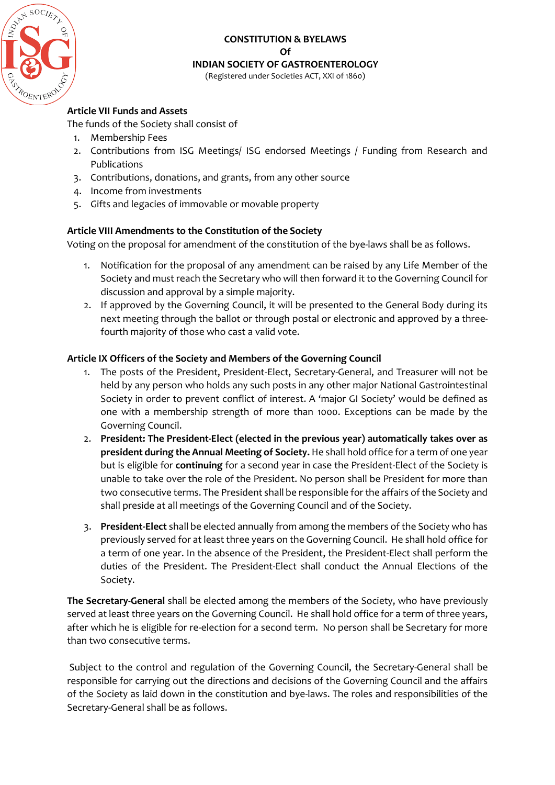

## **CONSTITUTION & BYELAWS Of INDIAN SOCIETY OF GASTROENTEROLOGY**

(Registered under Societies ACT, XXI of 1860)

### **Article VII Funds and Assets**

The funds of the Society shall consist of

- 1. Membership Fees
- 2. Contributions from ISG Meetings/ ISG endorsed Meetings / Funding from Research and Publications
- 3. Contributions, donations, and grants, from any other source
- 4. Income from investments
- 5. Gifts and legacies of immovable or movable property

### **Article VIII Amendments to the Constitution of the Society**

Voting on the proposal for amendment of the constitution of the bye-laws shall be as follows.

- 1. Notification for the proposal of any amendment can be raised by any Life Member of the Society and must reach the Secretary who will then forward it to the Governing Council for discussion and approval by a simple majority.
- 2. If approved by the Governing Council, it will be presented to the General Body during its next meeting through the ballot or through postal or electronic and approved by a threefourth majority of those who cast a valid vote.

### **Article IX Officers of the Society and Members of the Governing Council**

- 1. The posts of the President, President-Elect, Secretary-General, and Treasurer will not be held by any person who holds any such posts in any other major National Gastrointestinal Society in order to prevent conflict of interest. A 'major GI Society' would be defined as one with a membership strength of more than 1000. Exceptions can be made by the Governing Council.
- 2. **President: The President-Elect (elected in the previous year) automatically takes over as president during the Annual Meeting of Society.** He shall hold office for a term of one year but is eligible for **continuing** for a second year in case the President-Elect of the Society is unable to take over the role of the President. No person shall be President for more than two consecutive terms. The President shall be responsible for the affairs of the Society and shall preside at all meetings of the Governing Council and of the Society.
- 3. **President-Elect** shall be elected annually from among the members of the Society who has previously served for at least three years on the Governing Council. He shall hold office for a term of one year. In the absence of the President, the President-Elect shall perform the duties of the President. The President-Elect shall conduct the Annual Elections of the Society.

**The Secretary-General** shall be elected among the members of the Society, who have previously served at least three years on the Governing Council. He shall hold office for a term of three years, after which he is eligible for re-election for a second term. No person shall be Secretary for more than two consecutive terms.

Subject to the control and regulation of the Governing Council, the Secretary-General shall be responsible for carrying out the directions and decisions of the Governing Council and the affairs of the Society as laid down in the constitution and bye-laws. The roles and responsibilities of the Secretary-General shall be as follows.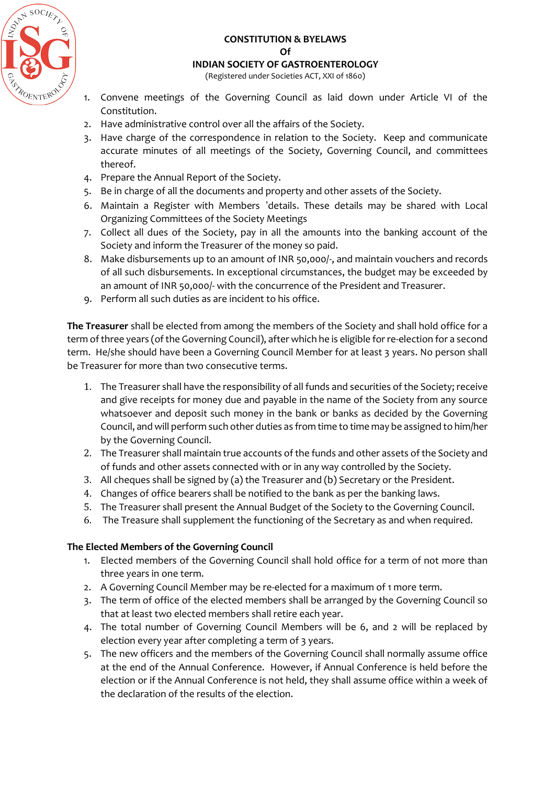

### **CONSTITUTION & BYELAWS Of**

#### **INDIAN SOCIETY OF GASTROENTEROLOGY**

(Registered under Societies ACT, XXI of 1860)

- 1. Convene meetings of the Governing Council as laid down under Article VI of the Constitution.
- 2. Have administrative control over all the affairs of the Society.
- 3. Have charge of the correspondence in relation to the Society. Keep and communicate accurate minutes of all meetings of the Society, Governing Council, and committees thereof.
- 4. Prepare the Annual Report of the Society.
- 5. Be in charge of all the documents and property and other assets of the Society.
- 6. Maintain a Register with Members 'details. These details may be shared with Local Organizing Committees of the Society Meetings
- 7. Collect all dues of the Society, pay in all the amounts into the banking account of the Society and inform the Treasurer of the money so paid.
- 8. Make disbursements up to an amount of INR 50,000/-, and maintain vouchers and records of all such disbursements. In exceptional circumstances, the budget may be exceeded by an amount of INR 50,000/- with the concurrence of the President and Treasurer.
- 9. Perform all such duties as are incident to his office.

**The Treasurer** shall be elected from among the members of the Society and shall hold office for a term of three years (ofthe Governing Council), after which he is eligible for re-election for a second term. He/she should have been a Governing Council Member for at least 3 years. No person shall be Treasurer for more than two consecutive terms.

- 1. The Treasurer shall have the responsibility of all funds and securities of the Society; receive and give receipts for money due and payable in the name of the Society from any source whatsoever and deposit such money in the bank or banks as decided by the Governing Council, and will perform such other duties as from time to time may be assigned to him/her by the Governing Council.
- 2. The Treasurer shall maintain true accounts of the funds and other assets of the Society and of funds and other assets connected with or in any way controlled by the Society.
- 3. All cheques shall be signed by (a) the Treasurer and (b) Secretary or the President.
- 4. Changes of office bearers shall be notified to the bank as per the banking laws.
- 5. The Treasurer shall present the Annual Budget of the Society to the Governing Council.
- 6. The Treasure shall supplement the functioning of the Secretary as and when required.

### **The Elected Members of the Governing Council**

- 1. Elected members of the Governing Council shall hold office for a term of not more than three years in one term.
- 2. A Governing Council Member may be re-elected for a maximum of 1 more term.
- 3. The term of office of the elected members shall be arranged by the Governing Council so that at least two elected members shall retire each year.
- 4. The total number of Governing Council Members will be 6, and 2 will be replaced by election every year after completing a term of 3 years.
- 5. The new officers and the members of the Governing Council shall normally assume office at the end of the Annual Conference. However, if Annual Conference is held before the election or if the Annual Conference is not held, they shall assume office within a week of the declaration of the results of the election.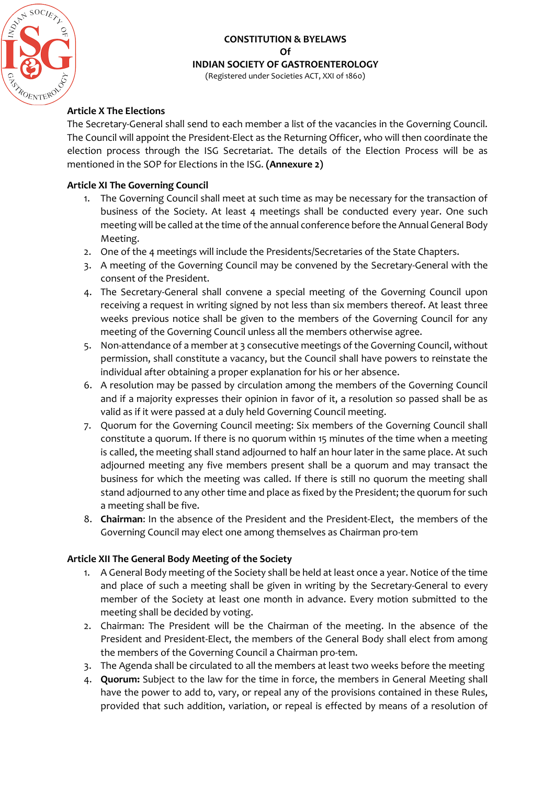

#### **CONSTITUTION & BYELAWS Of INDIAN SOCIETY OF GASTROENTEROLOGY** (Registered under Societies ACT, XXI of 1860)

### **Article X The Elections**

The Secretary-General shall send to each member a list of the vacancies in the Governing Council. The Council will appoint the President-Elect as the Returning Officer, who will then coordinate the election process through the ISG Secretariat. The details of the Election Process will be as mentioned in the SOP for Elections in the ISG. **(Annexure 2)**

### **Article XI The Governing Council**

- 1. The Governing Council shall meet at such time as may be necessary for the transaction of business of the Society. At least 4 meetings shall be conducted every year. One such meeting will be called at the time of the annual conference before the Annual General Body Meeting.
- 2. One of the 4 meetings will include the Presidents/Secretaries of the State Chapters.
- 3. A meeting of the Governing Council may be convened by the Secretary-General with the consent of the President.
- 4. The Secretary-General shall convene a special meeting of the Governing Council upon receiving a request in writing signed by not less than six members thereof. At least three weeks previous notice shall be given to the members of the Governing Council for any meeting of the Governing Council unless all the members otherwise agree.
- 5. Non-attendance of a member at 3 consecutive meetings of the Governing Council, without permission, shall constitute a vacancy, but the Council shall have powers to reinstate the individual after obtaining a proper explanation for his or her absence.
- 6. A resolution may be passed by circulation among the members of the Governing Council and if a majority expresses their opinion in favor of it, a resolution so passed shall be as valid as if it were passed at a duly held Governing Council meeting.
- 7. Quorum for the Governing Council meeting: Six members of the Governing Council shall constitute a quorum. If there is no quorum within 15 minutes of the time when a meeting is called, the meeting shall stand adjourned to half an hour later in the same place. At such adjourned meeting any five members present shall be a quorum and may transact the business for which the meeting was called. If there is still no quorum the meeting shall stand adjourned to any other time and place as fixed by the President; the quorum for such a meeting shall be five.
- 8. **Chairman**: In the absence of the President and the President-Elect, the members of the Governing Council may elect one among themselves as Chairman pro-tem

### **Article XII The General Body Meeting of the Society**

- 1. A General Body meeting of the Society shall be held at least once a year. Notice of the time and place of such a meeting shall be given in writing by the Secretary-General to every member of the Society at least one month in advance. Every motion submitted to the meeting shall be decided by voting.
- 2. Chairman: The President will be the Chairman of the meeting. In the absence of the President and President-Elect, the members of the General Body shall elect from among the members of the Governing Council a Chairman pro-tem.
- 3. The Agenda shall be circulated to all the members at least two weeks before the meeting
- 4. **Quorum:** Subject to the law for the time in force, the members in General Meeting shall have the power to add to, vary, or repeal any of the provisions contained in these Rules, provided that such addition, variation, or repeal is effected by means of a resolution of